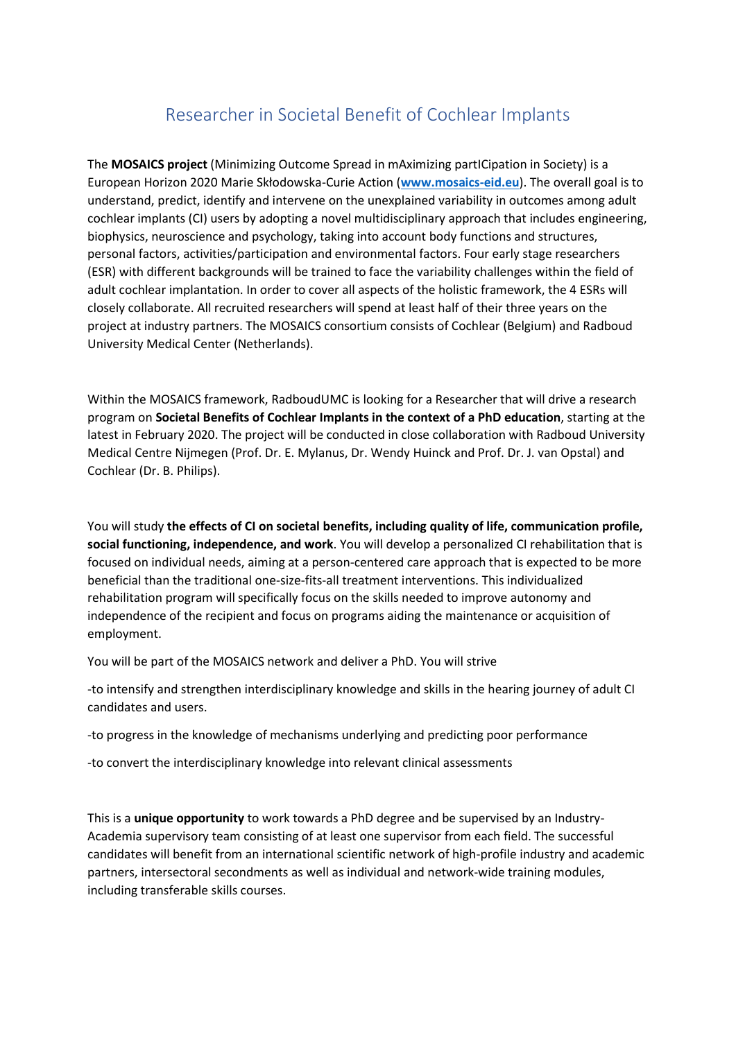## Researcher in Societal Benefit of Cochlear Implants

The **MOSAICS project** (Minimizing Outcome Spread in mAximizing partICipation in Society) is a European Horizon 2020 Marie Skłodowska-Curie Action (**[www.mosaics-eid.eu](http://careers.cochlear.com/cw/en/job/610125/www.mosaics-eid.eu)**). The overall goal is to understand, predict, identify and intervene on the unexplained variability in outcomes among adult cochlear implants (CI) users by adopting a novel multidisciplinary approach that includes engineering, biophysics, neuroscience and psychology, taking into account body functions and structures, personal factors, activities/participation and environmental factors. Four early stage researchers (ESR) with different backgrounds will be trained to face the variability challenges within the field of adult cochlear implantation. In order to cover all aspects of the holistic framework, the 4 ESRs will closely collaborate. All recruited researchers will spend at least half of their three years on the project at industry partners. The MOSAICS consortium consists of Cochlear (Belgium) and Radboud University Medical Center (Netherlands).

Within the MOSAICS framework, RadboudUMC is looking for a Researcher that will drive a research program on **Societal Benefits of Cochlear Implants in the context of a PhD education**, starting at the latest in February 2020. The project will be conducted in close collaboration with Radboud University Medical Centre Nijmegen (Prof. Dr. E. Mylanus, Dr. Wendy Huinck and Prof. Dr. J. van Opstal) and Cochlear (Dr. B. Philips).

You will study **the effects of CI on societal benefits, including quality of life, communication profile, social functioning, independence, and work**. You will develop a personalized CI rehabilitation that is focused on individual needs, aiming at a person-centered care approach that is expected to be more beneficial than the traditional one-size-fits-all treatment interventions. This individualized rehabilitation program will specifically focus on the skills needed to improve autonomy and independence of the recipient and focus on programs aiding the maintenance or acquisition of employment.

You will be part of the MOSAICS network and deliver a PhD. You will strive

-to intensify and strengthen interdisciplinary knowledge and skills in the hearing journey of adult CI candidates and users.

-to progress in the knowledge of mechanisms underlying and predicting poor performance

-to convert the interdisciplinary knowledge into relevant clinical assessments

This is a **unique opportunity** to work towards a PhD degree and be supervised by an Industry-Academia supervisory team consisting of at least one supervisor from each field. The successful candidates will benefit from an international scientific network of high-profile industry and academic partners, intersectoral secondments as well as individual and network-wide training modules, including transferable skills courses.